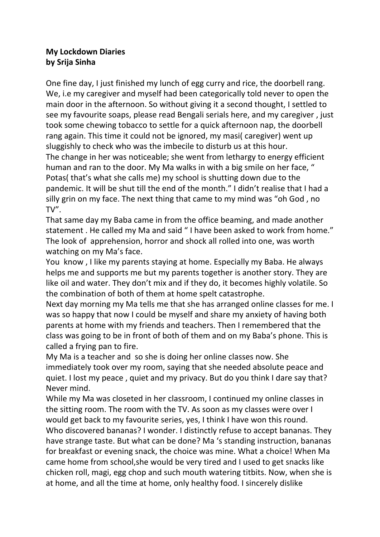## **My Lockdown Diaries by Srija Sinha**

One fine day, I just finished my lunch of egg curry and rice, the doorbell rang. We, i.e my caregiver and myself had been categorically told never to open the main door in the afternoon. So without giving it a second thought, I settled to see my favourite soaps, please read Bengali serials here, and my caregiver , just took some chewing tobacco to settle for a quick afternoon nap, the doorbell rang again. This time it could not be ignored, my masi( caregiver) went up sluggishly to check who was the imbecile to disturb us at this hour.

The change in her was noticeable; she went from lethargy to energy efficient human and ran to the door. My Ma walks in with a big smile on her face, " Potas( that's what she calls me) my school is shutting down due to the pandemic. It will be shut till the end of the month." I didn't realise that I had a silly grin on my face. The next thing that came to my mind was "oh God , no TV".

That same day my Baba came in from the office beaming, and made another statement . He called my Ma and said " I have been asked to work from home." The look of apprehension, horror and shock all rolled into one, was worth watching on my Ma's face.

You know , I like my parents staying at home. Especially my Baba. He always helps me and supports me but my parents together is another story. They are like oil and water. They don't mix and if they do, it becomes highly volatile. So the combination of both of them at home spelt catastrophe.

Next day morning my Ma tells me that she has arranged online classes for me. I was so happy that now I could be myself and share my anxiety of having both parents at home with my friends and teachers. Then I remembered that the class was going to be in front of both of them and on my Baba's phone. This is called a frying pan to fire.

My Ma is a teacher and so she is doing her online classes now. She immediately took over my room, saying that she needed absolute peace and quiet. I lost my peace , quiet and my privacy. But do you think I dare say that? Never mind.

While my Ma was closeted in her classroom, I continued my online classes in the sitting room. The room with the TV. As soon as my classes were over I would get back to my favourite series, yes, I think I have won this round. Who discovered bananas? I wonder. I distinctly refuse to accept bananas. They have strange taste. But what can be done? Ma 's standing instruction, bananas for breakfast or evening snack, the choice was mine. What a choice! When Ma came home from school,she would be very tired and I used to get snacks like chicken roll, magi, egg chop and such mouth watering titbits. Now, when she is at home, and all the time at home, only healthy food. I sincerely dislike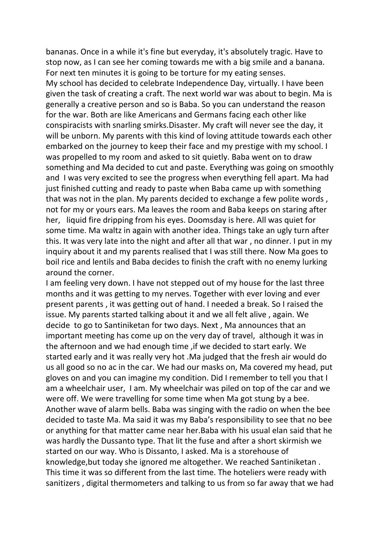bananas. Once in a while it's fine but everyday, it's absolutely tragic. Have to stop now, as I can see her coming towards me with a big smile and a banana. For next ten minutes it is going to be torture for my eating senses. My school has decided to celebrate Independence Day, virtually. I have been given the task of creating a craft. The next world war was about to begin. Ma is generally a creative person and so is Baba. So you can understand the reason for the war. Both are like Americans and Germans facing each other like conspiracists with snarling smirks.Disaster. My craft will never see the day, it will be unborn. My parents with this kind of loving attitude towards each other embarked on the journey to keep their face and my prestige with my school. I was propelled to my room and asked to sit quietly. Baba went on to draw something and Ma decided to cut and paste. Everything was going on smoothly and I was very excited to see the progress when everything fell apart. Ma had just finished cutting and ready to paste when Baba came up with something that was not in the plan. My parents decided to exchange a few polite words , not for my or yours ears. Ma leaves the room and Baba keeps on staring after her, liquid fire dripping from his eyes. Doomsday is here. All was quiet for some time. Ma waltz in again with another idea. Things take an ugly turn after this. It was very late into the night and after all that war , no dinner. I put in my inquiry about it and my parents realised that I was still there. Now Ma goes to boil rice and lentils and Baba decides to finish the craft with no enemy lurking around the corner.

I am feeling very down. I have not stepped out of my house for the last three months and it was getting to my nerves. Together with ever loving and ever present parents , it was getting out of hand. I needed a break. So I raised the issue. My parents started talking about it and we all felt alive , again. We decide to go to Santiniketan for two days. Next , Ma announces that an important meeting has come up on the very day of travel, although it was in the afternoon and we had enough time ,if we decided to start early. We started early and it was really very hot .Ma judged that the fresh air would do us all good so no ac in the car. We had our masks on, Ma covered my head, put gloves on and you can imagine my condition. Did I remember to tell you that I am a wheelchair user, I am. My wheelchair was piled on top of the car and we were off. We were travelling for some time when Ma got stung by a bee. Another wave of alarm bells. Baba was singing with the radio on when the bee decided to taste Ma. Ma said it was my Baba's responsibility to see that no bee or anything for that matter came near her.Baba with his usual elan said that he was hardly the Dussanto type. That lit the fuse and after a short skirmish we started on our way. Who is Dissanto, I asked. Ma is a storehouse of knowledge,but today she ignored me altogether. We reached Santiniketan . This time it was so different from the last time. The hoteliers were ready with sanitizers , digital thermometers and talking to us from so far away that we had